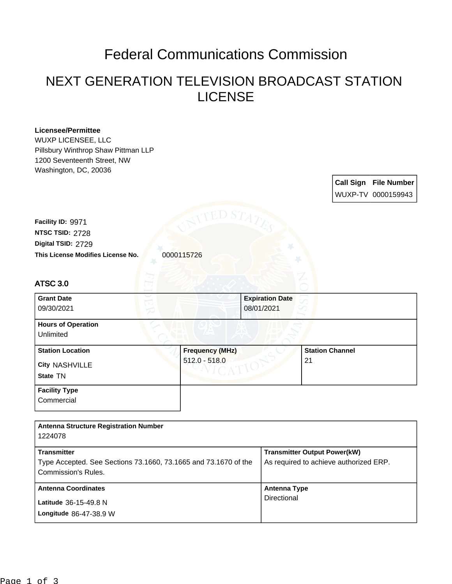## Federal Communications Commission

## NEXT GENERATION TELEVISION BROADCAST STATION LICENSE

| <b>Licensee/Permittee</b><br>WUXP LICENSEE, LLC<br>Pillsbury Winthrop Shaw Pittman LLP<br>1200 Seventeenth Street, NW<br>Washington, DC, 20036 |                        |                                      |                                        |
|------------------------------------------------------------------------------------------------------------------------------------------------|------------------------|--------------------------------------|----------------------------------------|
|                                                                                                                                                |                        |                                      | <b>Call Sign File Number</b>           |
|                                                                                                                                                |                        |                                      | WUXP-TV 0000159943                     |
|                                                                                                                                                |                        |                                      |                                        |
| Facility ID: 9971<br>NTSC TSID: 2728                                                                                                           |                        |                                      |                                        |
| Digital TSID: 2729                                                                                                                             |                        |                                      |                                        |
| This License Modifies License No.                                                                                                              | 0000115726             |                                      |                                        |
|                                                                                                                                                |                        |                                      |                                        |
| ATSC 3.0                                                                                                                                       |                        |                                      |                                        |
| <b>Grant Date</b><br>09/30/2021                                                                                                                |                        | <b>Expiration Date</b><br>08/01/2021 |                                        |
| <b>Hours of Operation</b><br>Unlimited                                                                                                         |                        |                                      |                                        |
| <b>Station Location</b>                                                                                                                        | <b>Frequency (MHz)</b> |                                      | <b>Station Channel</b>                 |
| <b>City NASHVILLE</b>                                                                                                                          | $512.0 - 518.0$        |                                      | 21                                     |
| State TN                                                                                                                                       |                        |                                      |                                        |
| <b>Facility Type</b>                                                                                                                           |                        |                                      |                                        |
| Commercial                                                                                                                                     |                        |                                      |                                        |
|                                                                                                                                                |                        |                                      |                                        |
| <b>Antenna Structure Registration Number</b><br>1224078                                                                                        |                        |                                      |                                        |
| <b>Transmitter</b>                                                                                                                             |                        |                                      | <b>Transmitter Output Power(kW)</b>    |
| Type Accepted. See Sections 73.1660, 73.1665 and 73.1670 of the                                                                                |                        |                                      | As required to achieve authorized ERP. |
| Commission's Rules.                                                                                                                            |                        |                                      |                                        |
| <b>Antenna Coordinates</b>                                                                                                                     |                        | <b>Antenna Type</b>                  |                                        |
| Latitude 36-15-49.8 N                                                                                                                          |                        | Directional                          |                                        |
| Longitude 86-47-38.9 W                                                                                                                         |                        |                                      |                                        |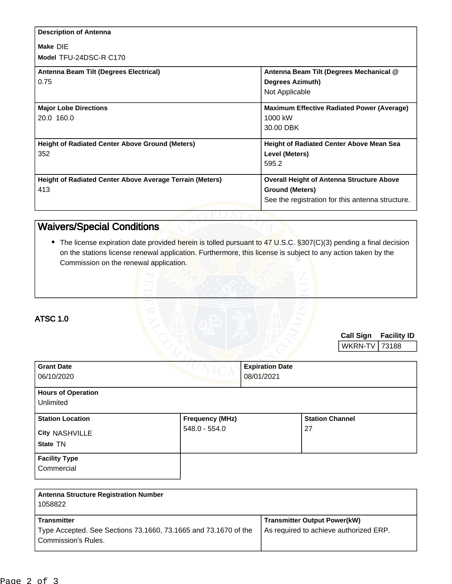| <b>Description of Antenna</b>                            |                                                   |
|----------------------------------------------------------|---------------------------------------------------|
| Make DIE                                                 |                                                   |
| Model TFU-24DSC-R C170                                   |                                                   |
| Antenna Beam Tilt (Degrees Electrical)                   | Antenna Beam Tilt (Degrees Mechanical @           |
| 0.75                                                     | <b>Degrees Azimuth)</b>                           |
|                                                          | Not Applicable                                    |
| <b>Major Lobe Directions</b>                             | <b>Maximum Effective Radiated Power (Average)</b> |
| 20.0 160.0                                               | 1000 kW                                           |
|                                                          | 30.00 DBK                                         |
| <b>Height of Radiated Center Above Ground (Meters)</b>   | <b>Height of Radiated Center Above Mean Sea</b>   |
| 352                                                      | Level (Meters)                                    |
|                                                          | 595.2                                             |
| Height of Radiated Center Above Average Terrain (Meters) | <b>Overall Height of Antenna Structure Above</b>  |
| 413                                                      | <b>Ground (Meters)</b>                            |
|                                                          | See the registration for this antenna structure.  |

## Waivers/Special Conditions

• The license expiration date provided herein is tolled pursuant to 47 U.S.C. §307(C)(3) pending a final decision on the stations license renewal application. Furthermore, this license is subject to any action taken by the Commission on the renewal application.

| <b>ATSC 1.0</b> |  |  |
|-----------------|--|--|
|                 |  |  |

Commercial

**Call Sign Facility ID** WKRN-TV 73188

| <b>Grant Date</b><br>06/10/2020                       | $\sqrt{C}$                                | <b>Expiration Date</b><br>08/01/2021 |                              |  |
|-------------------------------------------------------|-------------------------------------------|--------------------------------------|------------------------------|--|
| <b>Hours of Operation</b><br>Unlimited                |                                           |                                      |                              |  |
| <b>Station Location</b><br>City NASHVILLE<br>State TN | <b>Frequency (MHz)</b><br>$548.0 - 554.0$ |                                      | <b>Station Channel</b><br>27 |  |
| <b>Facility Type</b>                                  |                                           |                                      |                              |  |

| <b>Antenna Structure Registration Number</b><br>1058822                                                             |                                                                               |
|---------------------------------------------------------------------------------------------------------------------|-------------------------------------------------------------------------------|
| <b>Transmitter</b><br>Type Accepted. See Sections 73.1660, 73.1665 and 73.1670 of the<br><b>Commission's Rules.</b> | <b>Transmitter Output Power(kW)</b><br>As required to achieve authorized ERP. |